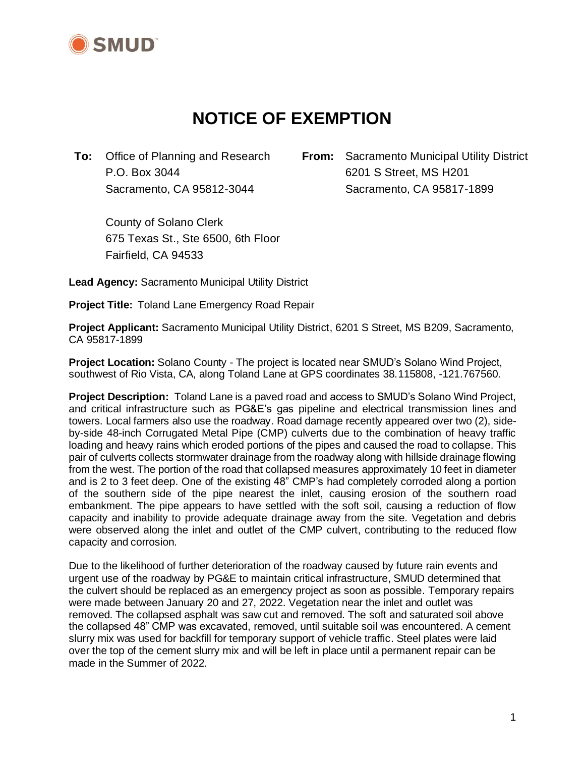

# **NOTICE OF EXEMPTION**

**To:** Office of Planning and Research **From:** Sacramento Municipal Utility District P.O. Box 3044 6201 S Street, MS H201 Sacramento, CA 95812-3044 Sacramento, CA 95817-1899

County of Solano Clerk 675 Texas St., Ste 6500, 6th Floor Fairfield, CA 94533

**Lead Agency:** Sacramento Municipal Utility District

**Project Title:** Toland Lane Emergency Road Repair

**Project Applicant:** Sacramento Municipal Utility District, 6201 S Street, MS B209, Sacramento, CA 95817-1899

**Project Location:** Solano County - The project is located near SMUD's Solano Wind Project, southwest of Rio Vista, CA, along Toland Lane at GPS coordinates 38.115808, -121.767560.

**Project Description:** Toland Lane is a paved road and access to SMUD's Solano Wind Project, and critical infrastructure such as PG&E's gas pipeline and electrical transmission lines and towers. Local farmers also use the roadway. Road damage recently appeared over two (2), sideby-side 48-inch Corrugated Metal Pipe (CMP) culverts due to the combination of heavy traffic loading and heavy rains which eroded portions of the pipes and caused the road to collapse. This pair of culverts collects stormwater drainage from the roadway along with hillside drainage flowing from the west. The portion of the road that collapsed measures approximately 10 feet in diameter and is 2 to 3 feet deep. One of the existing 48" CMP's had completely corroded along a portion of the southern side of the pipe nearest the inlet, causing erosion of the southern road embankment. The pipe appears to have settled with the soft soil, causing a reduction of flow capacity and inability to provide adequate drainage away from the site. Vegetation and debris were observed along the inlet and outlet of the CMP culvert, contributing to the reduced flow capacity and corrosion.

Due to the likelihood of further deterioration of the roadway caused by future rain events and urgent use of the roadway by PG&E to maintain critical infrastructure, SMUD determined that the culvert should be replaced as an emergency project as soon as possible. Temporary repairs were made between January 20 and 27, 2022. Vegetation near the inlet and outlet was removed. The collapsed asphalt was saw cut and removed. The soft and saturated soil above the collapsed 48" CMP was excavated, removed, until suitable soil was encountered. A cement slurry mix was used for backfill for temporary support of vehicle traffic. Steel plates were laid over the top of the cement slurry mix and will be left in place until a permanent repair can be made in the Summer of 2022.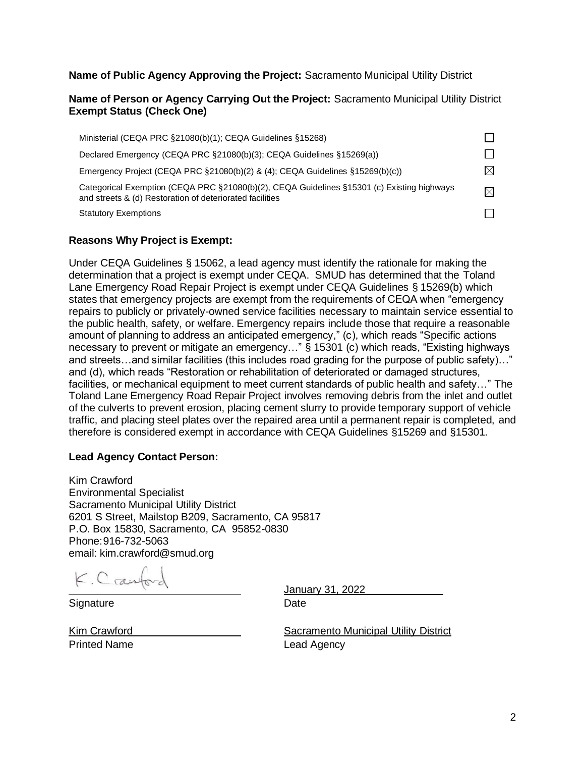### **Name of Public Agency Approving the Project:** Sacramento Municipal Utility District

#### **Name of Person or Agency Carrying Out the Project:** Sacramento Municipal Utility District **Exempt Status (Check One)**

| Ministerial (CEQA PRC §21080(b)(1); CEQA Guidelines §15268)                                                                                            |             |
|--------------------------------------------------------------------------------------------------------------------------------------------------------|-------------|
| Declared Emergency (CEQA PRC §21080(b)(3); CEQA Guidelines §15269(a))                                                                                  |             |
| Emergency Project (CEQA PRC $\S 21080(b)(2)$ & (4); CEQA Guidelines $\S 15269(b)(c)$ )                                                                 | M           |
| Categorical Exemption (CEQA PRC §21080(b)(2), CEQA Guidelines §15301 (c) Existing highways<br>and streets & (d) Restoration of deteriorated facilities | $\boxtimes$ |
| <b>Statutory Exemptions</b>                                                                                                                            |             |

## **Reasons Why Project is Exempt:**

Under CEQA Guidelines § 15062, a lead agency must identify the rationale for making the determination that a project is exempt under CEQA. SMUD has determined that the Toland Lane Emergency Road Repair Project is exempt under CEQA Guidelines § 15269(b) which states that emergency projects are exempt from the requirements of CEQA when "emergency repairs to publicly or privately-owned service facilities necessary to maintain service essential to the public health, safety, or welfare. Emergency repairs include those that require a reasonable amount of planning to address an anticipated emergency," (c), which reads "Specific actions necessary to prevent or mitigate an emergency…" § 15301 (c) which reads, "Existing highways and streets…and similar facilities (this includes road grading for the purpose of public safety)…" and (d), which reads "Restoration or rehabilitation of deteriorated or damaged structures, facilities, or mechanical equipment to meet current standards of public health and safety…" The Toland Lane Emergency Road Repair Project involves removing debris from the inlet and outlet of the culverts to prevent erosion, placing cement slurry to provide temporary support of vehicle traffic, and placing steel plates over the repaired area until a permanent repair is completed, and therefore is considered exempt in accordance with CEQA Guidelines §15269 and §15301.

#### **Lead Agency Contact Person:**

Kim Crawford Environmental Specialist Sacramento Municipal Utility District 6201 S Street, Mailstop B209, Sacramento, CA 95817 P.O. Box 15830, Sacramento, CA 95852-0830 Phone:916-732-5063 email: kim.crawford@smud.org

K. Crawford

Signature Date

January 31, 2022

Printed Name **Lead Agency** 

Kim Crawford **Sacramento Municipal Utility District**